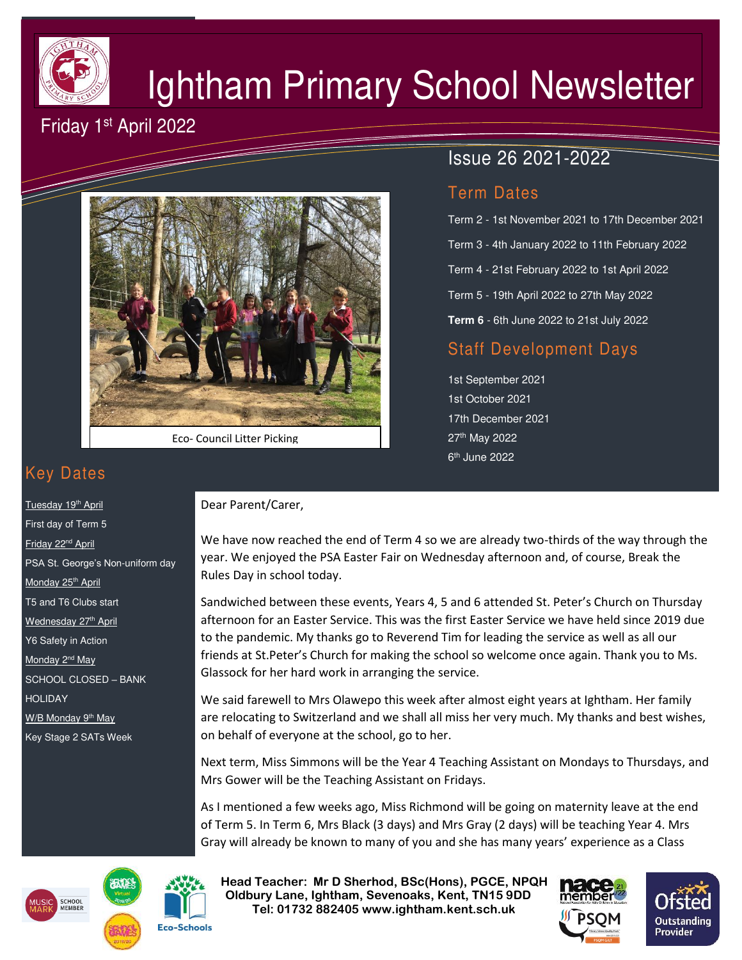

# Ightham Primary School Newsletter

# Friday 1st April 2022



Eco- Council Litter Picking

# Issue 26 2021-2022

# Term Dates

Term 2 - 1st November 2021 to 17th December 2021 Term 3 - 4th January 2022 to 11th February 2022 Term 4 - 21st February 2022 to 1st April 2022 Term 5 - 19th April 2022 to 27th May 2022 **Term 6** - 6th June 2022 to 21st July 2022

# Staff Development Days

1st September 2021 1st October 2021 17th December 2021 27th May 2022 6<sup>th</sup> June 2022

# Key Dates

Tuesday 19<sup>th</sup> April First day of Term 5 Friday 22nd April PSA St. George's Non-uniform day Monday 25<sup>th</sup> April T5 and T6 Clubs start Wednesday 27th April Y6 Safety in Action Monday 2<sup>nd</sup> May SCHOOL CLOSED – BANK HOLIDAY W/B Monday 9<sup>th</sup> May Key Stage 2 SATs Week

### Dear Parent/Carer,

We have now reached the end of Term 4 so we are already two-thirds of the way through the year. We enjoyed the PSA Easter Fair on Wednesday afternoon and, of course, Break the Rules Day in school today.

Sandwiched between these events, Years 4, 5 and 6 attended St. Peter's Church on Thursday afternoon for an Easter Service. This was the first Easter Service we have held since 2019 due to the pandemic. My thanks go to Reverend Tim for leading the service as well as all our friends at St.Peter's Church for making the school so welcome once again. Thank you to Ms. Glassock for her hard work in arranging the service.

We said farewell to Mrs Olawepo this week after almost eight years at Ightham. Her family are relocating to Switzerland and we shall all miss her very much. My thanks and best wishes, on behalf of everyone at the school, go to her.

Next term, Miss Simmons will be the Year 4 Teaching Assistant on Mondays to Thursdays, and Mrs Gower will be the Teaching Assistant on Fridays.

As I mentioned a few weeks ago, Miss Richmond will be going on maternity leave at the end of Term 5. In Term 6, Mrs Black (3 days) and Mrs Gray (2 days) will be teaching Year 4. Mrs Gray will already be known to many of you and she has many years' experience as a Class





 **Head Teacher: Mr D Sherhod, BSc(Hons), PGCE, NPQH Oldbury Lane, Ightham, Sevenoaks, Kent, TN15 9DD** EXERIGING THE **TELE: 01732 882405 www.ightham.kent.sch.uk**<br>Tel: 01732 882405 www.ightham.kent.sch.uk

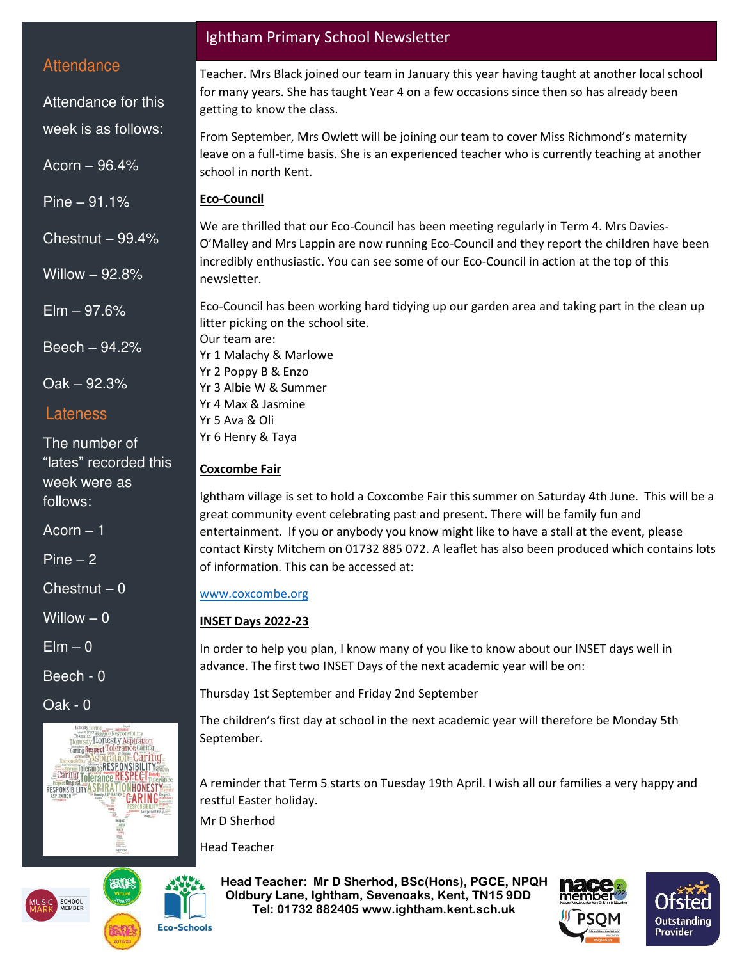## **Attendance**

Attendance for this

week is as follows:

Acorn – 96.4%

Pine – 91.1%

Chestnut – 99.4%

Willow – 92.8%

 $E$ lm  $-97.6%$ 

Beech – 94.2%

Oak – 92.3%

### Lateness

The number of "lates" recorded this week were as follows:

Acorn – 1

Pine – 2

 $Chestnut - 0$ 

Willow  $-0$ 

 $E$ lm – 0

Beech - 0

Oak - 0



Ightham Primary School Newsletter

Teacher. Mrs Black joined our team in January this year having taught at another local school for many years. She has taught Year 4 on a few occasions since then so has already been getting to know the class.

From September, Mrs Owlett will be joining our team to cover Miss Richmond's maternity leave on a full-time basis. She is an experienced teacher who is currently teaching at another school in north Kent.

### **Eco-Council**

We are thrilled that our Eco-Council has been meeting regularly in Term 4. Mrs Davies-O'Malley and Mrs Lappin are now running Eco-Council and they report the children have been incredibly enthusiastic. You can see some of our Eco-Council in action at the top of this newsletter.

Eco-Council has been working hard tidying up our garden area and taking part in the clean up litter picking on the school site.

Our team are: Yr 1 Malachy & Marlowe Yr 2 Poppy B & Enzo Yr 3 Albie W & Summer Yr 4 Max & Jasmine Yr 5 Ava & Oli

Yr 6 Henry & Taya

### **Coxcombe Fair**

Ightham village is set to hold a Coxcombe Fair this summer on Saturday 4th June. This will be a great community event celebrating past and present. There will be family fun and entertainment. If you or anybody you know might like to have a stall at the event, please contact Kirsty Mitchem on 01732 885 072. A leaflet has also been produced which contains lots of information. This can be accessed at:

### [www.coxcombe.org](http://www.coxcombe.org/)

### **INSET Days 2022-23**

In order to help you plan, I know many of you like to know about our INSET days well in advance. The first two INSET Days of the next academic year will be on:

Thursday 1st September and Friday 2nd September

The children's first day at school in the next academic year will therefore be Monday 5th September.

A reminder that Term 5 starts on Tuesday 19th April. I wish all our families a very happy and restful Easter holiday.

Mr D Sherhod

Head Teacher

 **Head Teacher: Mr D Sherhod, BSc(Hons), PGCE, NPQH Oldbury Lane, Ightham, Sevenoaks, Kent, TN15 9DD** EXERIGING THE **TELE: 01732 882405 www.ightham.kent.sch.uk**<br>Tel: 01732 882405 www.ightham.kent.sch.uk





**Eco-Schools**